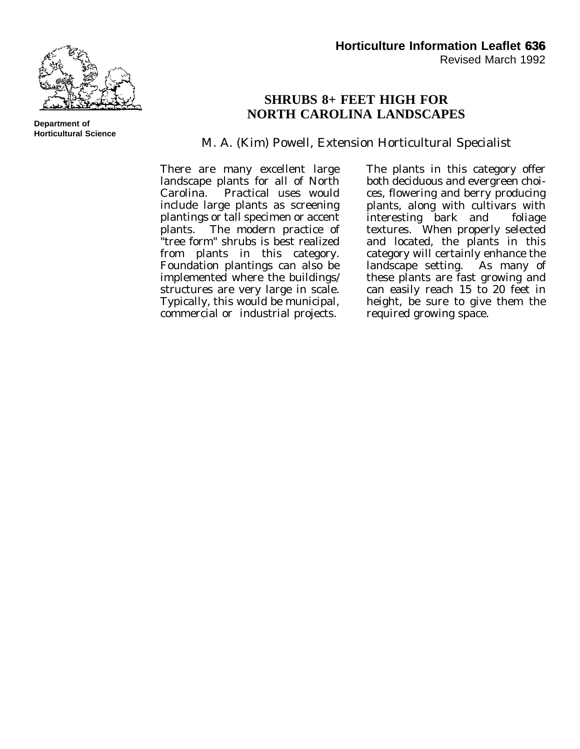

## **SHRUBS 8+ FEET HIGH FOR NORTH CAROLINA LANDSCAPES**

M. A. (Kim) Powell, Extension Horticultural Specialist

There are many excellent large landscape plants for all of North Carolina. Practical uses would include large plants as screening plantings or tall specimen or accent plants. The modern practice of "tree form" shrubs is best realized from plants in this category. Foundation plantings can also be implemented where the buildings/ structures are very large in scale. Typically, this would be municipal, commercial or industrial projects.

The plants in this category offer both deciduous and evergreen choices, flowering and berry producing plants, along with cultivars with interesting bark and foliage textures. When properly selected and located, the plants in this category will certainly enhance the<br>landscape setting. As many of landscape setting. these plants are fast growing and can easily reach 15 to 20 feet in height, be sure to give them the required growing space.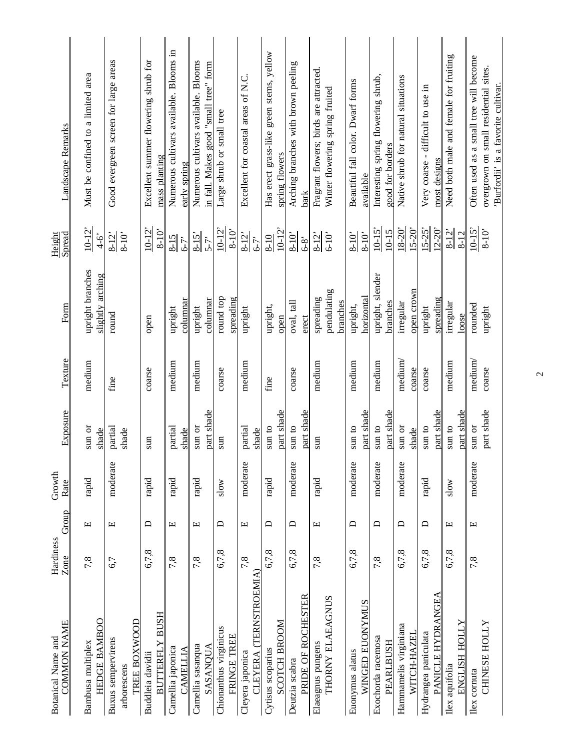| <b>COMMON NAME</b><br>Botanical Name and | Hardiness<br>Zone | Group                            | Growth<br>Rate         | Exposure         | Texture | Form                                 | Spread<br>Height       | Landscape Remarks                                                            |
|------------------------------------------|-------------------|----------------------------------|------------------------|------------------|---------|--------------------------------------|------------------------|------------------------------------------------------------------------------|
|                                          |                   |                                  |                        |                  |         |                                      |                        |                                                                              |
| HEDGE BAMBOO<br>Bambusa multiplex        | 7,8               | $\boxed{\underline{\mathbf{L}}}$ | rapid                  | sun or<br>shade  | medium  | upright branches<br>slightly arching | $10 - 12$<br>$4-6$     | Must be confined to a limited area                                           |
| <b>Buxus</b> sempervirens<br>arborescens | 6,7               | $\Xi$                            | moderate               | partial<br>shade | fine    | round                                | $8 - 12$<br>$8 - 10'$  | Good evergreen screen for large areas                                        |
| TREE BOXWOOD                             |                   |                                  |                        |                  |         |                                      |                        |                                                                              |
| BUTTERFLY BUSH<br>Buddleia davidii       | 6,7,8             | $\Box$                           | $\operatorname{rapid}$ | sun              | coarse  | open                                 | $10-12$<br>$8 - 10$    | Excellent summer flowering shrub for<br>mass planting                        |
| Camellia japonica<br>CAMELLIA            | 7,8               | $\Xi$                            | rapid                  | partial<br>shade | medium  | columnar<br>upright                  | $8-15$<br>6-7'         | Numerous cultivars available. Blooms in<br>early spring                      |
| Camellia sasanqua                        | 7,8               | $\Xi$                            | rapid                  | sun or           | medium  | upright                              | $8 - 15$               | Numerous cultivars available. Blooms                                         |
| SASANQUA                                 |                   |                                  |                        | part shade       |         | columnar                             | $5-7$                  | in fall. Makes good "small tree" form                                        |
| Chionanthus virginicus<br>FRINGE TREE    | 6,7,8             | $\Box$                           | slow                   | sun              | coarse  | round top<br>spreading               | $10 - 12$<br>$8 - 10'$ | Large shrub or small tree                                                    |
| Cleyera japonica                         | 7,8               | Ε                                | moderate               | partial          | medium  | upright                              | $8 - 12$               | Excellent for coastal areas of N.C.                                          |
| CLEYERA (TERNSTROEMIA)                   |                   |                                  |                        | shade            |         |                                      | $6 - 7$                |                                                                              |
| Cytisus scoparius                        | 6,7,8             | $\Box$                           | rapid                  | $\sin$ to        | fine    | upright,                             | $8 - 10$               | Has erect grass-like green stems, yellow                                     |
| <b>SCOTCH BROOM</b>                      |                   |                                  |                        | part shade       |         | open                                 | $10 - 12'$             | spring flowers                                                               |
| Deutzia scabra                           | 6,7,8             | $\Box$                           | moderate               | sun to           | coarse  | oval, tall                           | $8 - 10'$              | Arching branches with brown peeling                                          |
| PRIDE OF ROCHESTER                       |                   |                                  |                        | part shade       |         | erect                                | $6-8$                  | bark                                                                         |
| Elaeagnus pungens                        | 7,8               | Щ                                | rapid                  | sun              | medium  | spreading                            | $8-12$                 | Fragrant flowers; birds are attracted.                                       |
| THORNY ELAEAGNUS                         |                   |                                  |                        |                  |         | pendulating<br>branches              | $6 - 10$               | Winter flowering spring fruited                                              |
| Euonymus alatus                          | 6,7,8             | $\Box$                           | moderate               | sun to           | medium  | upright,                             | $8 - 10'$              | Beautiful fall color. Dwarf forms                                            |
| WINGED EUONYMUS                          |                   |                                  |                        | part shade       |         | horizontal                           | $8 - 10'$              | available                                                                    |
| Exochorda racemosa                       | 7,8               | $\Box$                           | moderate               | sun to           | medium  | upright, slender                     | $10-15$                | Interesting spring flowering shrub,                                          |
| PEARLBUSH                                |                   |                                  |                        | part shade       |         | branches                             | $10 - 15$              | good for borders                                                             |
| Hammamelis virginiana                    | 6,7,8             | $\Box$                           | moderate               | sun or           | medium  | irregular                            | $18 - 20'$             | Native shrub for natural situations                                          |
| <b>WITCH-HAZEL</b>                       |                   |                                  |                        | shade            | coarse  | open crown                           | $15 - 20'$             |                                                                              |
| Hydrangea paniculata                     | 6,7,8             | $\Box$                           | rapid                  | sun to           | coarse  | upright                              | $15 - 25$              | Very coarse - difficult to use in                                            |
| PANICLE HYDRANGEA                        |                   |                                  |                        | part shade       |         | spreading                            | $12 - 20$              | most designs                                                                 |
| Ilex aquifolia                           | 6,7,8             | $\mathbf \Xi$                    | slow                   | sun to           | medium  | irregular                            | $8 - 12$               | Need both male and female for fruiting                                       |
| ENGLISH HOLLY                            |                   |                                  |                        | part shade       |         | loose                                | $8 - 12$               |                                                                              |
| Ilex comuta                              | 7,8               | $\Xi$                            | moderate               | sun or           | medium  | rounded                              | $10 - 15$              | Often used as a small tree will become                                       |
| CHINESE HOLLY                            |                   |                                  |                        | part shade       | coarse  | upright                              | $8 - 10^{\circ}$       | overgrown on small residential sites.<br>'Burfordii' is a favorite cultivar. |

 $\overline{c}$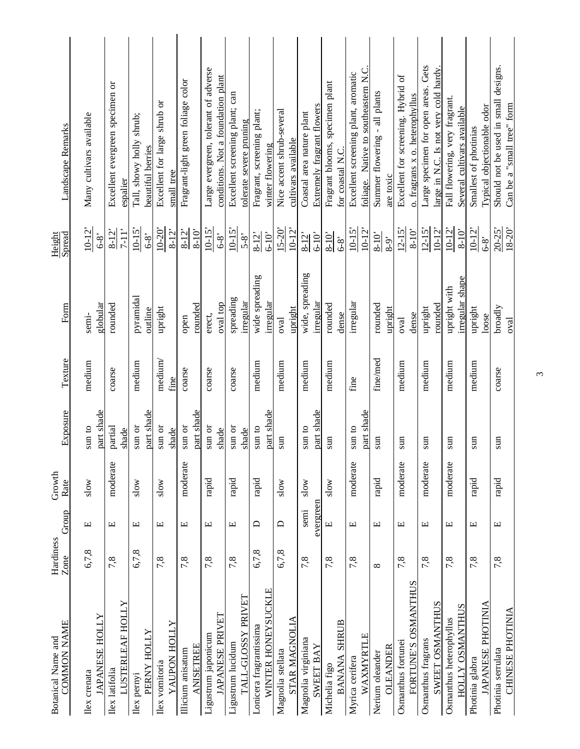| COMMON NAME<br>Botanical Name and  | Hardiness<br>Zone | Group                                        | Growth<br>Rate         | Exposure            | Texture  | Form                     | Spread<br>Height                  | Landscape Remarks                           |  |
|------------------------------------|-------------------|----------------------------------------------|------------------------|---------------------|----------|--------------------------|-----------------------------------|---------------------------------------------|--|
| Ilex crenata                       | 6,7,8             | щ                                            | slow                   | $\sin$ to           | medium   | semi-                    | $10-12$                           | Many cultivars available                    |  |
| <b>JAPANESE HOLLY</b>              |                   |                                              |                        | part shade          |          | globular                 | $6-8$                             |                                             |  |
| LUSTERLEAF HOLLY<br>Ilex latifolia | 7,8               | Щ                                            | moderate               | partial<br>shade    | coarse   | rounded                  | $7 - 11$ <sup>2</sup><br>$8 - 12$ | Excellent evergreen specimen or<br>espalier |  |
| Ilex pemyi                         | 6,7,8             | 凹                                            | slow                   | $\,\mathrm{sun}$ or | medium   | pyramidal                | $10-15$                           | Tall, showy holly shrub;                    |  |
| PERNY HOLLY                        |                   |                                              |                        | part shade          |          | outline                  | $6-8$                             | beautiful berries                           |  |
| vomitoria<br>Ilex                  | 7,8               | 凹                                            | slow                   | $\,\mathrm{sun}$ or | medium   | upright                  | $10 - 20'$                        | Excellent for large shrub or                |  |
| YAUPON HOLLY                       |                   |                                              |                        | shade               | fine     |                          | $8 - 12$                          | small tree                                  |  |
| Illicium anisatum                  | 7,8               | Щ                                            | moderate               | sun or              | coarse   | open                     | $8 - 12$                          | Fragrant-light green foliage color          |  |
| <b>ANISETREE</b>                   |                   |                                              |                        | part shade          |          | rounded                  | $8 - 10$                          |                                             |  |
| Ligustrum japonicum                | 7,8               | щ                                            | rapid                  | sun or              | coarse   | erect,                   | $10-15$                           | Large evergreen, tolerant of adverse        |  |
| <b>JAPANESE PRIVET</b>             |                   |                                              |                        | shade               |          | oval top                 | $6-8$                             | conditions. Not a foundation plant          |  |
| Ligustrum lucidum                  | 7,8               | Щ                                            | $\operatorname{rapid}$ | sun or              | coarse   | spreading                | $10-15$                           | Excellent screening plant; can              |  |
| TALL-GLOSSY PRIVET                 |                   |                                              |                        | shade               |          | irregular                | $5-8$                             | tolerate severe pruning                     |  |
| Lonicera fragrantissima            | 6,7,8             | ≏                                            | rapid                  | sun to              | medium   | wide spreading           | $8 - 12$                          | Fragrant, screening plant;                  |  |
| WINTER HONEYSUCKLE                 |                   |                                              |                        | part shade          |          | irregular                | $6 - 10$                          | winter flowering                            |  |
| Magnolia stellata                  | 6,7,8             | ≏                                            | slow                   | $\sin$              | medium   | $\overline{\text{eval}}$ | $15 - 20'$                        | Nice accent shrub-several                   |  |
| STAR MAGNOLIA                      |                   |                                              |                        |                     |          | upright                  | $10-12$                           | cultivars available                         |  |
| Magnolia virginiana                | 7,8               | semi                                         | slow                   | sun to              | medium   | wide, spreading          | $8 - 12$                          | Coastal area nature plant                   |  |
| <b>SWEET BAY</b>                   |                   | evergreen                                    |                        | part shade          |          | irregular                | $6 - 10$                          | Extremely fragrant flowers                  |  |
| Michelia figo                      | 7,8               | $\boxed{\underline{\phantom{a}}\phantom{a}}$ | slow                   | sun                 | medium   | rounded                  | $8 - 10'$                         | Fragrant blooms, specimen plant             |  |
| <b>SHRUB</b><br><b>BANANA</b>      |                   |                                              |                        |                     |          | dense                    | $6-8$                             | for coastal N.C.                            |  |
| Myrica cerifera                    | 7,8               | Щ                                            | moderate               | $\sin$ to           | fine     | irregular                | $10-15$                           | Excellent screening plant, aromatic         |  |
| WAXMYRTLE                          |                   |                                              |                        | part shade          |          |                          | $10 - 12$                         | foliage. Native to southeastern N.C.        |  |
| Nerium oleander                    | $\infty$          | щ                                            | rapid                  | $\sin$              | fine/med | rounded                  | $8 - 10'$                         | Summer flowering - all plants               |  |
| <b>OLEANDER</b>                    |                   |                                              |                        |                     |          | upright                  | $8-9$                             | are toxic                                   |  |
| Osmanthus fortunei                 | 7,8               | Щ                                            | moderate               | sun                 | medium   | oval                     | $12 - 15'$                        | Excellent for screening. Hybrid of          |  |
| FORTUNE'S OSMANTHUS                |                   |                                              |                        |                     |          | dense                    | $8 - 10'$                         | o. fragrans x o. heterophyllus              |  |
| Osmanthus fragrans                 | 7,8               | Щ                                            | moderate               | sun                 | medium   | upright                  | $12 - 15'$                        | Large specimen for open areas. Gets         |  |
| SWEET OSMANTHUS                    |                   |                                              |                        |                     |          | rounded                  | $10 - 12$                         | large in N.C. Is not very cold hardy        |  |
| Osmanthus heterophyllus            | 7,8               | 凹                                            | moderate               | sun                 | medium   | upright with             | $10 - 12$                         | Fall flowering, very fragrant.              |  |
| <b>OSMANTHUS</b><br><b>HOLLY</b>   |                   |                                              |                        |                     |          | irregular shape          | $8 - 10'$                         | Several cultivars available                 |  |
| Photinia glabra                    | 7,8               | Щ                                            | rapid                  | sun                 | medium   | upright                  | $10 - 12$                         | Smallest of photinias                       |  |
| JAPANESE PHOTINIA                  |                   |                                              |                        |                     |          | loose                    | $6-8$                             | Typical objectionable odor                  |  |
| Photinia serrulata                 | 7,8               | $\Xi$                                        | rapid                  | sun                 | coarse   | broadly                  | $20 - 25$                         | Should not be used in small designs.        |  |
| CHINESE PHOTINIA                   |                   |                                              |                        |                     |          | Qval                     | $18 - 20$                         | Can be a "small tree" form                  |  |

 $\tilde{3}$